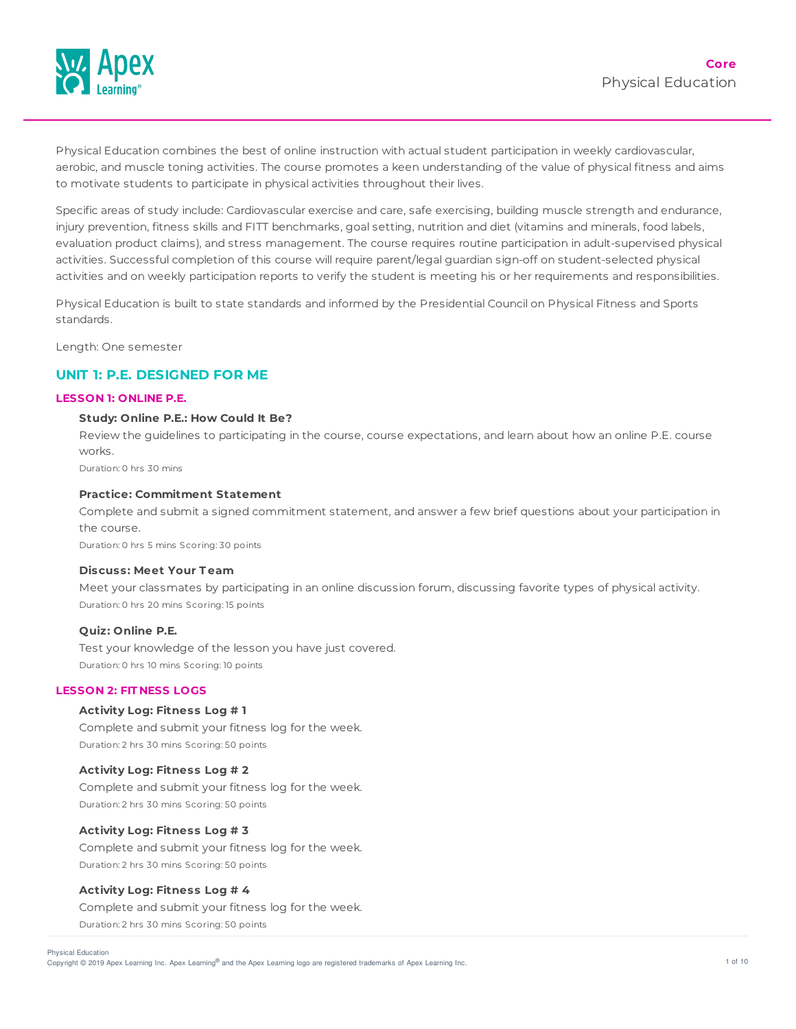

Physical Education combines the best of online instruction with actual student participation in weekly cardiovascular, aerobic, and muscle toning activities. The course promotes a keen understanding of the value of physical fitness and aims to motivate students to participate in physical activities throughout their lives.

Specific areas of study include: Cardiovascular exercise and care, safe exercising, building muscle strength and endurance, injury prevention, fitness skills and FITT benchmarks, goal setting, nutrition and diet (vitamins and minerals, food labels, evaluation product claims), and stress management. The course requires routine participation in adult-supervised physical activities. Successful completion of this course will require parent/legal guardian sign-off on student-selected physical activities and on weekly participation reports to verify the student is meeting his or her requirements and responsibilities.

Physical Education is built to state standards and informed by the Presidential Council on Physical Fitness and Sports standards.

Length: One semester

## **UNIT 1: P.E. DESIGNED FOR ME**

## **LESSON 1: ONLINE P.E.**

#### **Study: Online P.E.: How Could It Be?**

Review the guidelines to participating in the course, course expectations, and learn about how an online P.E. course works.

Duration: 0 hrs 30 mins

## **Practice: Commitment Statement**

Complete and submit a signed commitment statement, and answer a few brief questions about your participation in the course.

Duration: 0 hrs 5 mins Scoring: 30 points

#### **Discuss: Meet Your T eam**

Meet your classmates by participating in an online discussion forum, discussing favorite types of physical activity. Duration: 0 hrs 20 mins Scoring: 15 points

#### **Quiz: Online P.E.**

Test your knowledge of the lesson you have just covered. Duration: 0 hrs 10 mins Scoring: 10 points

## **LESSON 2: FIT NESS LOGS**

## **Activity Log: Fitness Log # 1**

Complete and submit your fitness log for the week. Duration: 2 hrs 30 mins Scoring: 50 points

## **Activity Log: Fitness Log # 2**

Complete and submit your fitness log for the week. Duration: 2 hrs 30 mins Scoring: 50 points

## **Activity Log: Fitness Log # 3**

Complete and submit your fitness log for the week. Duration: 2 hrs 30 mins Scoring: 50 points

#### **Activity Log: Fitness Log # 4**

Complete and submit your fitness log for the week. Duration: 2 hrs 30 mins Scoring: 50 points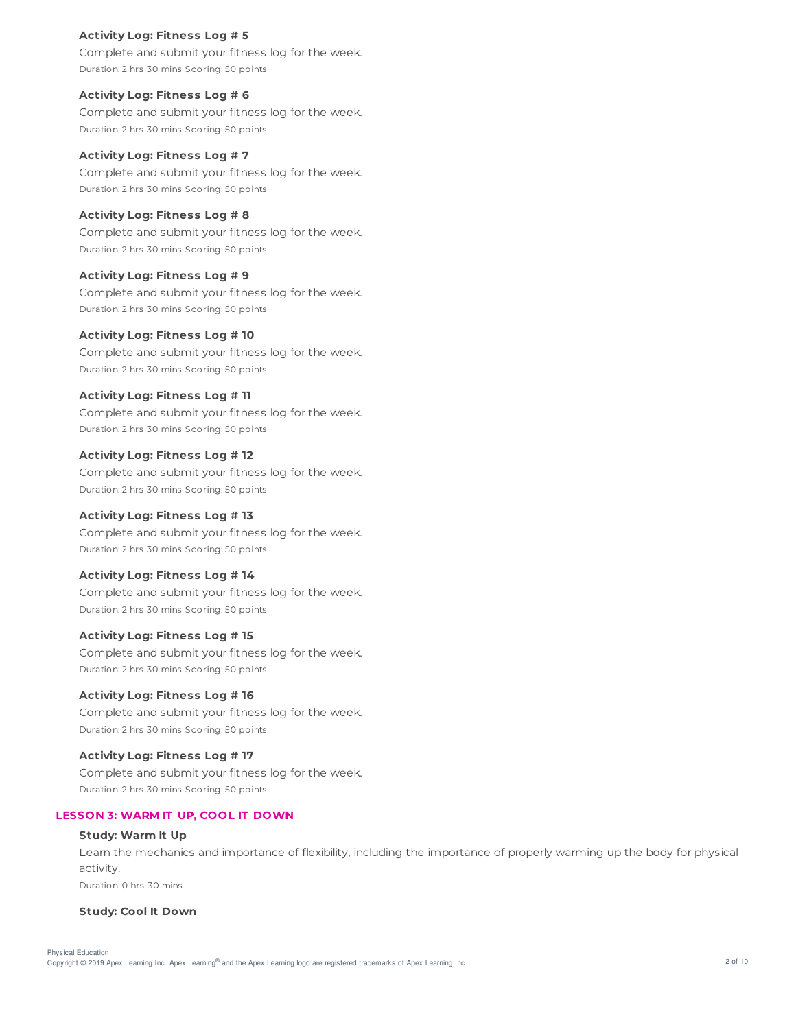## **Activity Log: Fitness Log # 5**

Complete and submit your fitness log for the week. Duration: 2 hrs 30 mins Scoring: 50 points

**Activity Log: Fitness Log # 6** Complete and submit your fitness log for the week. Duration: 2 hrs 30 mins Scoring: 50 points

**Activity Log: Fitness Log # 7** Complete and submit your fitness log for the week. Duration: 2 hrs 30 mins Scoring: 50 points

**Activity Log: Fitness Log # 8** Complete and submit your fitness log for the week. Duration: 2 hrs 30 mins Scoring: 50 points

**Activity Log: Fitness Log # 9** Complete and submit your fitness log for the week. Duration: 2 hrs 30 mins Scoring: 50 points

**Activity Log: Fitness Log # 10** Complete and submit your fitness log for the week. Duration: 2 hrs 30 mins Scoring: 50 points

**Activity Log: Fitness Log # 11** Complete and submit your fitness log for the week. Duration: 2 hrs 30 mins Scoring: 50 points

**Activity Log: Fitness Log # 12** Complete and submit your fitness log for the week. Duration: 2 hrs 30 mins Scoring: 50 points

**Activity Log: Fitness Log # 13** Complete and submit your fitness log for the week. Duration: 2 hrs 30 mins Scoring: 50 points

# **Activity Log: Fitness Log # 14**

Complete and submit your fitness log for the week. Duration: 2 hrs 30 mins Scoring: 50 points

**Activity Log: Fitness Log # 15**

Complete and submit your fitness log for the week. Duration: 2 hrs 30 mins Scoring: 50 points

**Activity Log: Fitness Log # 16**

Complete and submit your fitness log for the week. Duration: 2 hrs 30 mins Scoring: 50 points

**Activity Log: Fitness Log # 17**

Complete and submit your fitness log for the week. Duration: 2 hrs 30 mins Scoring: 50 points

## **LESSON 3: WARM IT UP, COOL IT DOWN**

## **Study: Warm It Up**

Learn the mechanics and importance of flexibility, including the importance of properly warming up the body for physical activity.

Duration: 0 hrs 30 mins

## **Study: Cool It Down**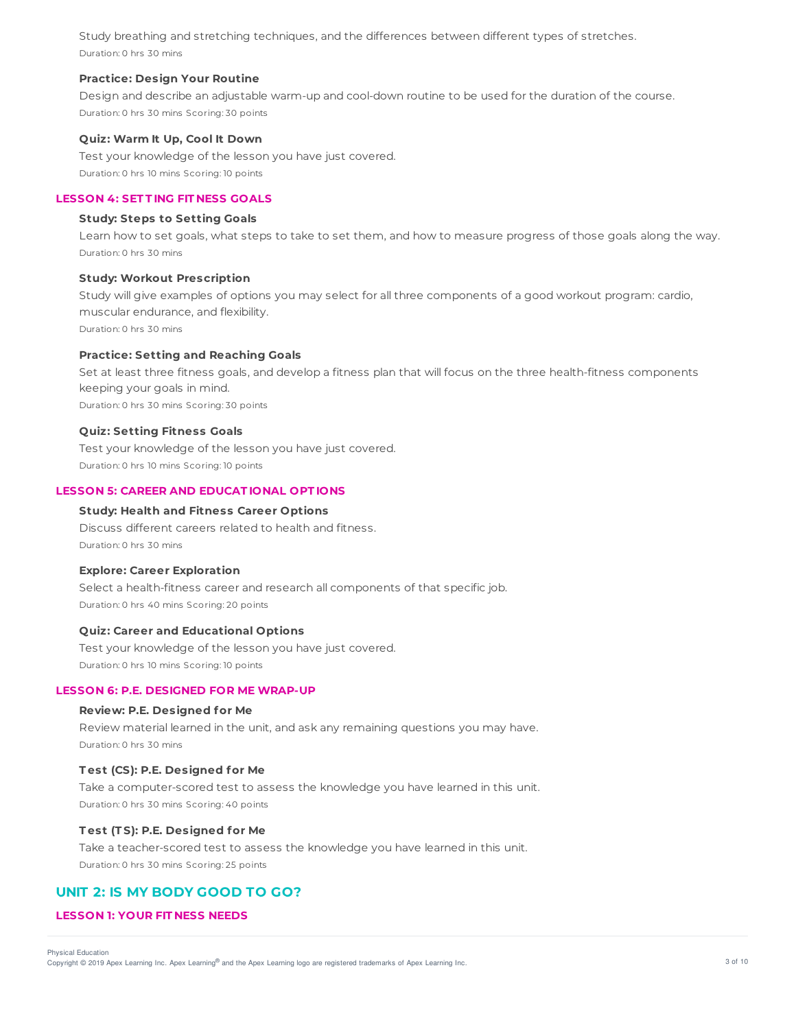Study breathing and stretching techniques, and the differences between different types of stretches. Duration: 0 hrs 30 mins

## **Practice: Design Your Routine**

Design and describe an adjustable warm-up and cool-down routine to be used for the duration of the course. Duration: 0 hrs 30 mins Scoring: 30 points

#### **Quiz: Warm It Up, Cool It Down**

Test your knowledge of the lesson you have just covered. Duration: 0 hrs 10 mins Scoring: 10 points

## **LESSON 4: SET T ING FIT NESS GOALS**

#### **Study: Steps to Setting Goals**

Learn how to set goals, what steps to take to set them, and how to measure progress of those goals along the way. Duration: 0 hrs 30 mins

#### **Study: Workout Prescription**

Study will give examples of options you may select for all three components of a good workout program: cardio, muscular endurance, and flexibility. Duration: 0 hrs 30 mins

**Practice: Setting and Reaching Goals**

Set at least three fitness goals, and develop a fitness plan that will focus on the three health-fitness components keeping your goals in mind. Duration: 0 hrs 30 mins Scoring: 30 points

#### **Quiz: Setting Fitness Goals**

Test your knowledge of the lesson you have just covered. Duration: 0 hrs 10 mins Scoring: 10 points

#### **LESSON 5: CAREER AND EDUCAT IONAL OPT IONS**

#### **Study: Health and Fitness Career Options**

Discuss different careers related to health and fitness. Duration: 0 hrs 30 mins

#### **Explore: Career Exploration**

Select a health-fitness career and research all components of that specific job. Duration: 0 hrs 40 mins Scoring: 20 points

## **Quiz: Career and Educational Options**

Test your knowledge of the lesson you have just covered. Duration: 0 hrs 10 mins Scoring: 10 points

### **LESSON 6: P.E. DESIGNED FOR ME WRAP-UP**

#### **Review: P.E. Designed for Me**

Review material learned in the unit, and ask any remaining questions you may have. Duration: 0 hrs 30 mins

### **T est (CS): P.E. Designed for Me**

Take a computer-scored test to assess the knowledge you have learned in this unit. Duration: 0 hrs 30 mins Scoring: 40 points

## **T est (T S): P.E. Designed for Me**

Take a teacher-scored test to assess the knowledge you have learned in this unit. Duration: 0 hrs 30 mins Scoring: 25 points

## **UNIT 2: IS MY BODY GOOD TO GO?**

## **LESSON 1: YOUR FIT NESS NEEDS**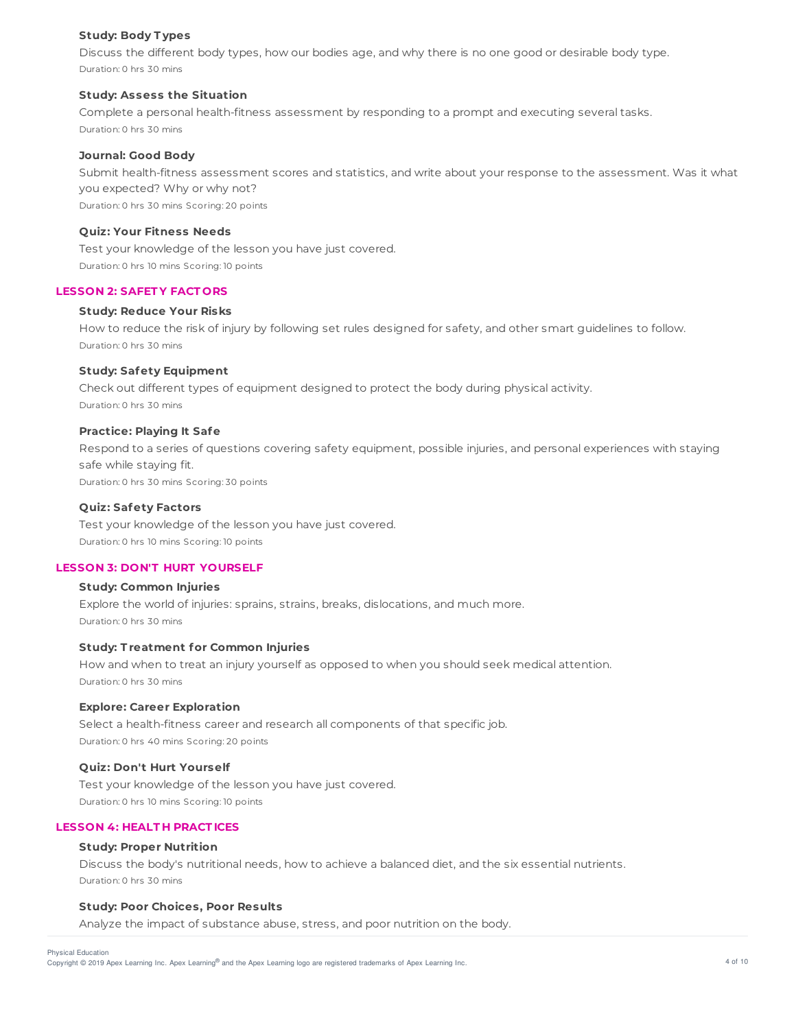## **Study: Body T ypes**

Discuss the different body types, how our bodies age, and why there is no one good or desirable body type. Duration: 0 hrs 30 mins

## **Study: Assess the Situation**

Complete a personal health-fitness assessment by responding to a prompt and executing several tasks. Duration: 0 hrs 30 mins

## **Journal: Good Body**

Submit health-fitness assessment scores and statistics, and write about your response to the assessment. Was it what you expected? Why or why not? Duration: 0 hrs 30 mins Scoring: 20 points

## **Quiz: Your Fitness Needs**

Test your knowledge of the lesson you have just covered. Duration: 0 hrs 10 mins Scoring: 10 points

## **LESSON 2: SAFET Y FACT ORS**

## **Study: Reduce Your Risks**

How to reduce the risk of injury by following set rules designed for safety, and other smart guidelines to follow. Duration: 0 hrs 30 mins

## **Study: Safety Equipment**

Check out different types of equipment designed to protect the body during physical activity. Duration: 0 hrs 30 mins

## **Practice: Playing It Safe**

Respond to a series of questions covering safety equipment, possible injuries, and personal experiences with staying safe while staying fit. Duration: 0 hrs 30 mins Scoring: 30 points

## **Quiz: Safety Factors**

Test your knowledge of the lesson you have just covered. Duration: 0 hrs 10 mins Scoring: 10 points

## **LESSON 3: DON'T HURT YOURSELF**

## **Study: Common Injuries**

Explore the world of injuries: sprains, strains, breaks, dislocations, and much more. Duration: 0 hrs 30 mins

## **Study: T reatment for Common Injuries**

How and when to treat an injury yourself as opposed to when you should seek medical attention. Duration: 0 hrs 30 mins

## **Explore: Career Exploration**

Select a health-fitness career and research all components of that specific job. Duration: 0 hrs 40 mins Scoring: 20 points

#### **Quiz: Don't Hurt Yourself**

Test your knowledge of the lesson you have just covered. Duration: 0 hrs 10 mins Scoring: 10 points

## **LESSON 4: HEALT H PRACT ICES**

#### **Study: Proper Nutrition**

Discuss the body's nutritional needs, how to achieve a balanced diet, and the six essential nutrients. Duration: 0 hrs 30 mins

## **Study: Poor Choices, Poor Results**

Analyze the impact of substance abuse, stress, and poor nutrition on the body.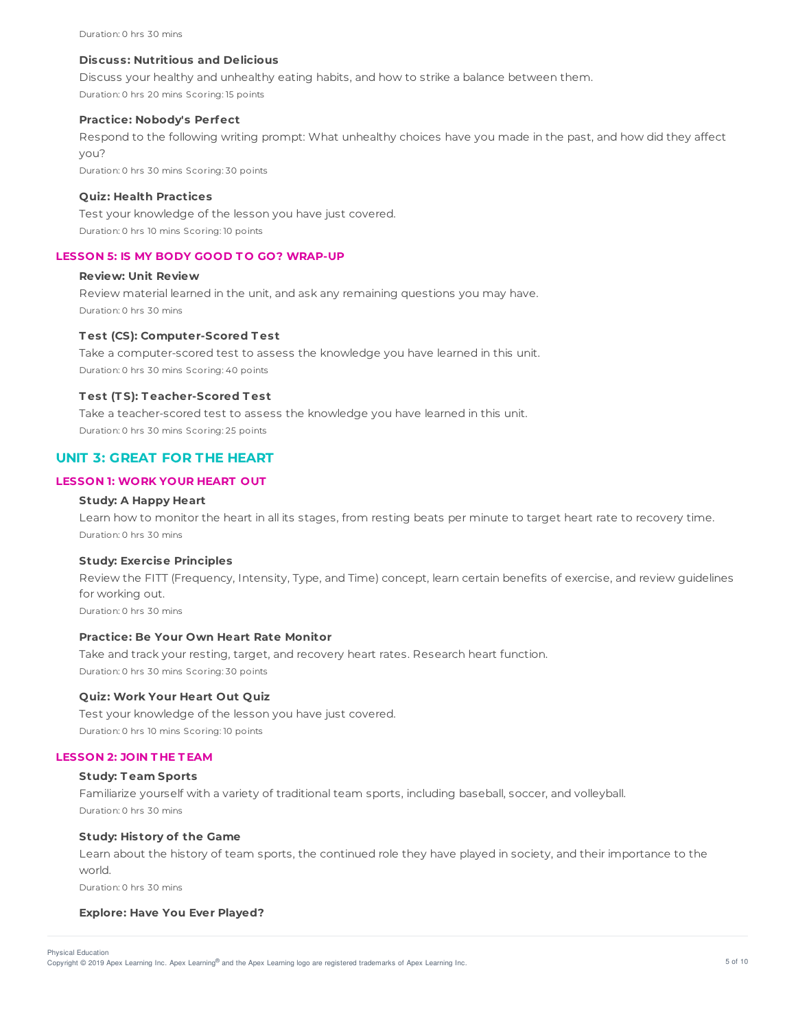## **Discuss: Nutritious and Delicious**

Discuss your healthy and unhealthy eating habits, and how to strike a balance between them. Duration: 0 hrs 20 mins Scoring: 15 points

#### **Practice: Nobody's Perfect**

Respond to the following writing prompt: What unhealthy choices have you made in the past, and how did they affect you?

Duration: 0 hrs 30 mins Scoring: 30 points

## **Quiz: Health Practices**

Test your knowledge of the lesson you have just covered. Duration: 0 hrs 10 mins Scoring: 10 points

## **LESSON 5: IS MY BODY GOOD T O GO? WRAP-UP**

## **Review: Unit Review**

Review material learned in the unit, and ask any remaining questions you may have. Duration: 0 hrs 30 mins

## **T est (CS): Computer-Scored T est**

Take a computer-scored test to assess the knowledge you have learned in this unit. Duration: 0 hrs 30 mins Scoring: 40 points

#### **T est (T S): T eacher-Scored T est**

Take a teacher-scored test to assess the knowledge you have learned in this unit. Duration: 0 hrs 30 mins Scoring: 25 points

## **UNIT 3: GREAT FOR THE HEART**

## **LESSON 1: WORK YOUR HEART OUT**

## **Study: A Happy Heart**

Learn how to monitor the heart in all its stages, from resting beats per minute to target heart rate to recovery time. Duration: 0 hrs 30 mins

#### **Study: Exercise Principles**

Review the FITT (Frequency, Intensity, Type, and Time) concept, learn certain benefits of exercise, and review guidelines for working out.

Duration: 0 hrs 30 mins

## **Practice: Be Your Own Heart Rate Monitor**

Take and track your resting, target, and recovery heart rates. Research heart function. Duration: 0 hrs 30 mins Scoring: 30 points

## **Quiz: Work Your Heart Out Quiz**

Test your knowledge of the lesson you have just covered. Duration: 0 hrs 10 mins Scoring: 10 points

### **LESSON 2: JOIN T HE T EAM**

#### **Study: T eam Sports**

Familiarize yourself with a variety of traditional team sports, including baseball, soccer, and volleyball. Duration: 0 hrs 30 mins

## **Study: History of the Game**

Learn about the history of team sports, the continued role they have played in society, and their importance to the world.

Duration: 0 hrs 30 mins

#### **Explore: Have You Ever Played?**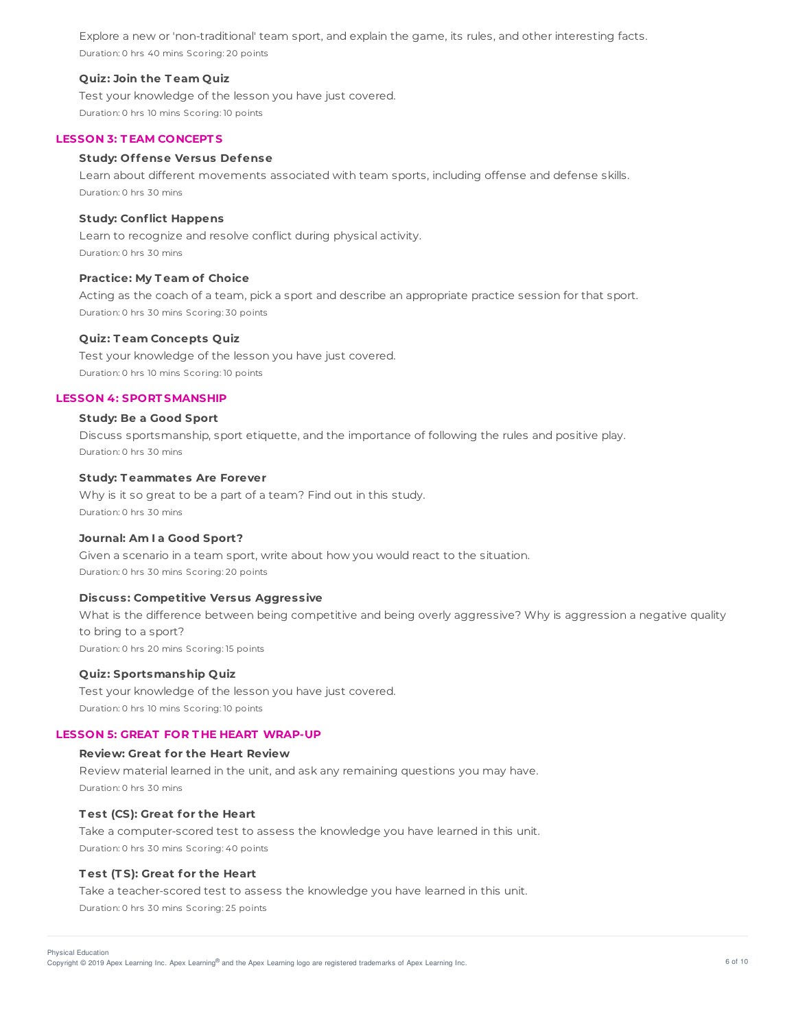Explore a new or 'non-traditional' team sport, and explain the game, its rules, and other interesting facts. Duration: 0 hrs 40 mins Scoring: 20 points

### **Quiz: Join the T eam Quiz**

Test your knowledge of the lesson you have just covered. Duration: 0 hrs 10 mins Scoring: 10 points

#### **LESSON 3: T EAM CONCEPT S**

#### **Study: Offense Versus Defense**

Learn about different movements associated with team sports, including offense and defense skills. Duration: 0 hrs 30 mins

#### **Study: Conflict Happens**

Learn to recognize and resolve conflict during physical activity. Duration: 0 hrs 30 mins

#### **Practice: My T eam of Choice**

Acting as the coach of a team, pick a sport and describe an appropriate practice session for that sport. Duration: 0 hrs 30 mins Scoring: 30 points

#### **Quiz: T eam Concepts Quiz**

Test your knowledge of the lesson you have just covered. Duration: 0 hrs 10 mins Scoring: 10 points

#### **LESSON 4: SPORT SMANSHIP**

#### **Study: Be a Good Sport**

Discuss sportsmanship, sport etiquette, and the importance of following the rules and positive play. Duration: 0 hrs 30 mins

## **Study: T eammates Are Forever**

Why is it so great to be a part of a team? Find out in this study. Duration: 0 hrs 30 mins

#### **Journal: Am I a Good Sport?**

Given a scenario in a team sport, write about how you would react to the situation. Duration: 0 hrs 30 mins Scoring: 20 points

## **Discuss: Competitive Versus Aggressive**

What is the difference between being competitive and being overly aggressive? Why is aggression a negative quality to bring to a sport? Duration: 0 hrs 20 mins Scoring: 15 points

**Quiz: Sportsmanship Quiz**

Test your knowledge of the lesson you have just covered. Duration: 0 hrs 10 mins Scoring: 10 points

#### **LESSON 5: GREAT FOR T HE HEART WRAP-UP**

### **Review: Great for the Heart Review**

Review material learned in the unit, and ask any remaining questions you may have. Duration: 0 hrs 30 mins

## **T est (CS): Great for the Heart**

Take a computer-scored test to assess the knowledge you have learned in this unit. Duration: 0 hrs 30 mins Scoring: 40 points

#### **T est (T S): Great for the Heart**

Take a teacher-scored test to assess the knowledge you have learned in this unit. Duration: 0 hrs 30 mins Scoring: 25 points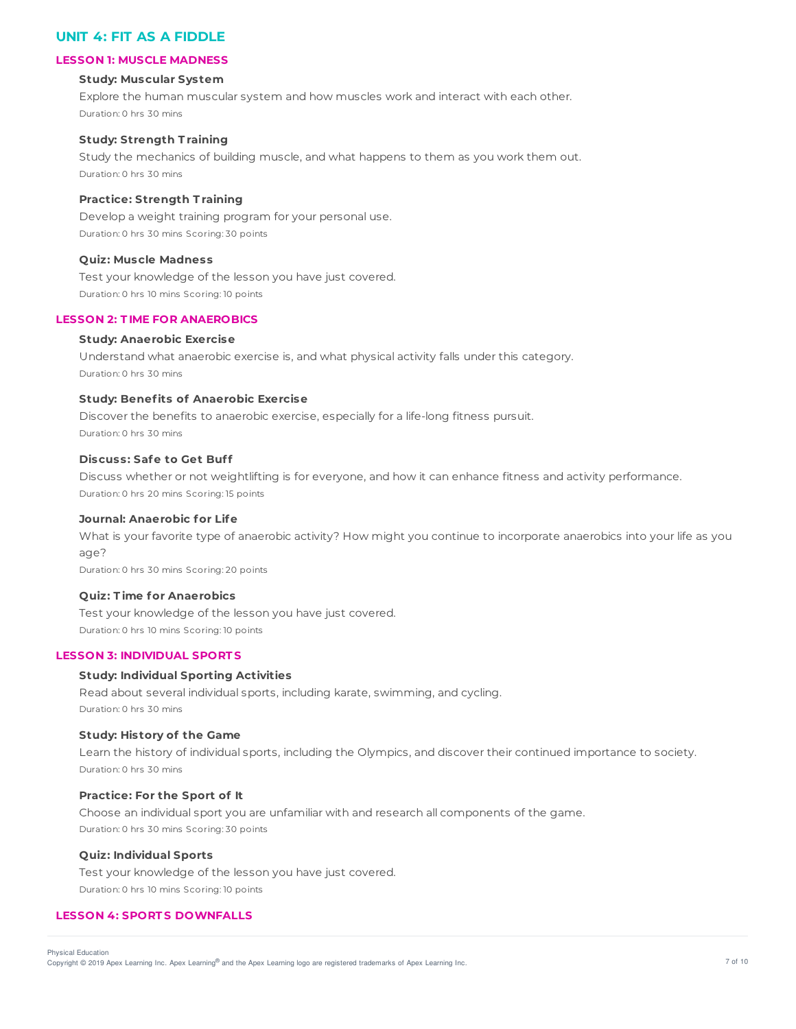# **UNIT 4: FIT AS A FIDDLE**

## **LESSON 1: MUSCLE MADNESS**

#### **Study: Muscular System**

Explore the human muscular system and how muscles work and interact with each other. Duration: 0 hrs 30 mins

## **Study: Strength T raining**

Study the mechanics of building muscle, and what happens to them as you work them out. Duration: 0 hrs 30 mins

## **Practice: Strength T raining**

Develop a weight training program for your personal use. Duration: 0 hrs 30 mins Scoring: 30 points

## **Quiz: Muscle Madness**

Test your knowledge of the lesson you have just covered. Duration: 0 hrs 10 mins Scoring: 10 points

#### **LESSON 2: T IME FOR ANAEROBICS**

#### **Study: Anaerobic Exercise**

Understand what anaerobic exercise is, and what physical activity falls under this category. Duration: 0 hrs 30 mins

## **Study: Benefits of Anaerobic Exercise**

Discover the benefits to anaerobic exercise, especially for a life-long fitness pursuit. Duration: 0 hrs 30 mins

### **Discuss: Safe to Get Buff**

Discuss whether or not weightlifting is for everyone, and how it can enhance fitness and activity performance. Duration: 0 hrs 20 mins Scoring: 15 points

## **Journal: Anaerobic for Life**

What is your favorite type of anaerobic activity? How might you continue to incorporate anaerobics into your life as you age?

Duration: 0 hrs 30 mins Scoring: 20 points

### **Quiz: T ime for Anaerobics**

Test your knowledge of the lesson you have just covered. Duration: 0 hrs 10 mins Scoring: 10 points

## **LESSON 3: INDIVIDUAL SPORT S**

## **Study: Individual Sporting Activities**

Read about several individual sports, including karate, swimming, and cycling. Duration: 0 hrs 30 mins

## **Study: History of the Game**

Learn the history of individual sports, including the Olympics, and discover their continued importance to society. Duration: 0 hrs 30 mins

## **Practice: For the Sport of It**

Choose an individual sport you are unfamiliar with and research all components of the game. Duration: 0 hrs 30 mins Scoring: 30 points

## **Quiz: Individual Sports**

Test your knowledge of the lesson you have just covered. Duration: 0 hrs 10 mins Scoring: 10 points

## **LESSON 4: SPORT S DOWNFALLS**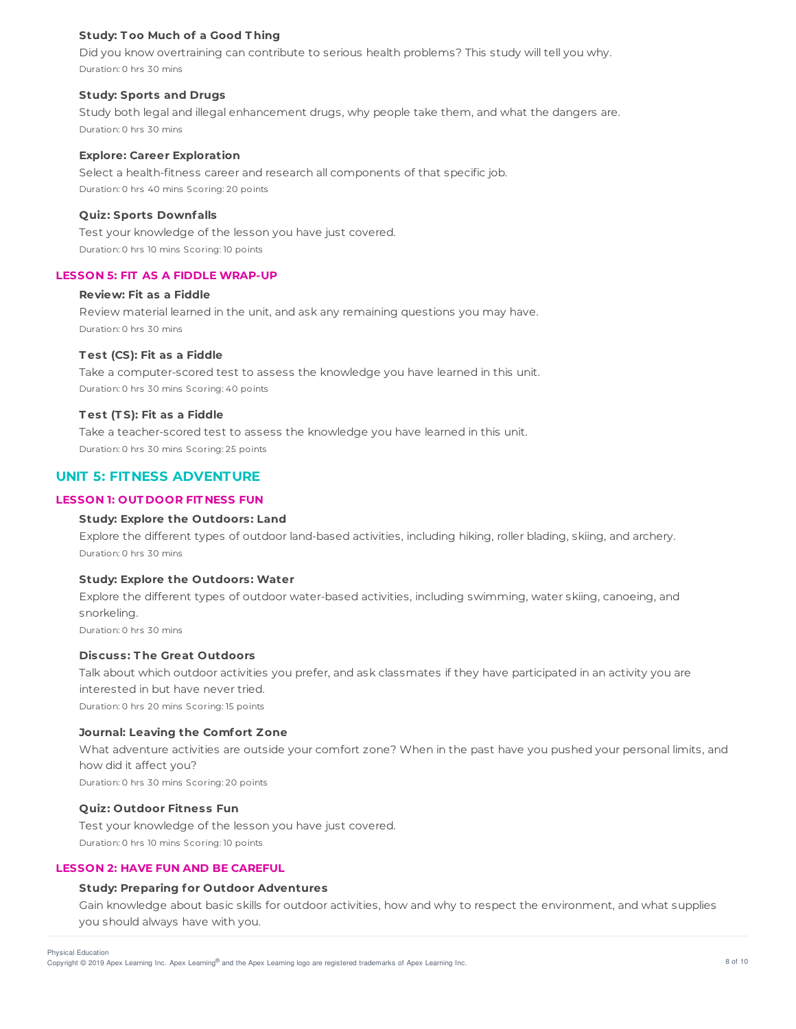## **Study: T oo Much of a Good T hing**

Did you know overtraining can contribute to serious health problems? This study will tell you why. Duration: 0 hrs 30 mins

## **Study: Sports and Drugs**

Study both legal and illegal enhancement drugs, why people take them, and what the dangers are. Duration: 0 hrs 30 mins

#### **Explore: Career Exploration**

Select a health-fitness career and research all components of that specific job. Duration: 0 hrs 40 mins Scoring: 20 points

#### **Quiz: Sports Downfalls**

Test your knowledge of the lesson you have just covered. Duration: 0 hrs 10 mins Scoring: 10 points

#### **LESSON 5: FIT AS A FIDDLE WRAP-UP**

#### **Review: Fit as a Fiddle**

Review material learned in the unit, and ask any remaining questions you may have. Duration: 0 hrs 30 mins

## **T est (CS): Fit as a Fiddle**

Take a computer-scored test to assess the knowledge you have learned in this unit. Duration: 0 hrs 30 mins Scoring: 40 points

#### **T est (T S): Fit as a Fiddle**

Take a teacher-scored test to assess the knowledge you have learned in this unit. Duration: 0 hrs 30 mins Scoring: 25 points

## **UNIT 5: FITNESS ADVENTURE**

## **LESSON 1: OUT DOOR FIT NESS FUN**

## **Study: Explore the Outdoors: Land**

Explore the different types of outdoor land-based activities, including hiking, roller blading, skiing, and archery. Duration: 0 hrs 30 mins

### **Study: Explore the Outdoors: Water**

Explore the different types of outdoor water-based activities, including swimming, water skiing, canoeing, and snorkeling. Duration: 0 hrs 30 mins

## **Discuss: T he Great Outdoors**

Talk about which outdoor activities you prefer, and ask classmates if they have participated in an activity you are interested in but have never tried. Duration: 0 hrs 20 mins Scoring: 15 points

## **Journal: Leaving the Comfort Zone**

What adventure activities are outside your comfort zone? When in the past have you pushed your personal limits, and how did it affect you? Duration: 0 hrs 30 mins Scoring: 20 points

## **Quiz: Outdoor Fitness Fun**

Test your knowledge of the lesson you have just covered. Duration: 0 hrs 10 mins Scoring: 10 points

### **LESSON 2: HAVE FUN AND BE CAREFUL**

#### **Study: Preparing for Outdoor Adventures**

Gain knowledge about basic skills for outdoor activities, how and why to respect the environment, and what supplies you should always have with you.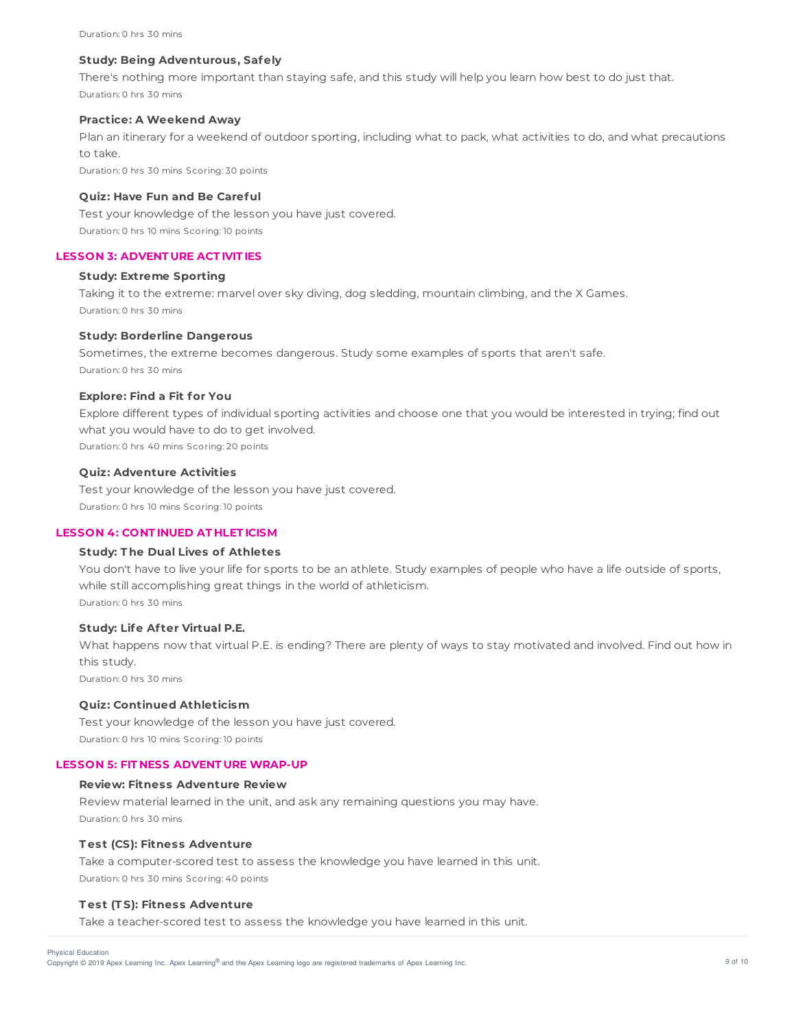## **Study: Being Adventurous, Safely**

There's nothing more important than staying safe, and this study will help you learn how best to do just that. Duration: 0 hrs 30 mins

## **Practice: A Weekend Away**

Plan an itinerary for a weekend of outdoor sporting, including what to pack, what activities to do, and what precautions to take.

Duration: 0 hrs 30 mins Scoring: 30 points

## **Quiz: Have Fun and Be Careful**

Test your knowledge of the lesson you have just covered. Duration: 0 hrs 10 mins Scoring: 10 points

## **LESSON 3: ADVENT URE ACT IVIT IES**

#### **Study: Extreme Sporting**

Taking it to the extreme: marvel over sky diving, dog sledding, mountain climbing, and the X Games. Duration: 0 hrs 30 mins

## **Study: Borderline Dangerous**

Sometimes, the extreme becomes dangerous. Study some examples of sports that aren't safe. Duration: 0 hrs 30 mins

## **Explore: Find a Fit for You**

Explore different types of individual sporting activities and choose one that you would be interested in trying; find out what you would have to do to get involved. Duration: 0 hrs 40 mins Scoring: 20 points

## **Quiz: Adventure Activities**

Test your knowledge of the lesson you have just covered. Duration: 0 hrs 10 mins Scoring: 10 points

### **LESSON 4: CONT INUED AT HLET ICISM**

## **Study: T he Dual Lives of Athletes**

You don't have to live your life for sports to be an athlete. Study examples of people who have a life outside of sports, while still accomplishing great things in the world of athleticism. Duration: 0 hrs 30 mins

### **Study: Life Af ter Virtual P.E.**

What happens now that virtual P.E. is ending? There are plenty of ways to stay motivated and involved. Find out how in this study.

Duration: 0 hrs 30 mins

## **Quiz: Continued Athleticism**

Test your knowledge of the lesson you have just covered. Duration: 0 hrs 10 mins Scoring: 10 points

#### **LESSON 5: FIT NESS ADVENT URE WRAP-UP**

## **Review: Fitness Adventure Review**

Review material learned in the unit, and ask any remaining questions you may have. Duration: 0 hrs 30 mins

#### **T est (CS): Fitness Adventure**

Take a computer-scored test to assess the knowledge you have learned in this unit. Duration: 0 hrs 30 mins Scoring: 40 points

## **T est (T S): Fitness Adventure**

Take a teacher-scored test to assess the knowledge you have learned in this unit.